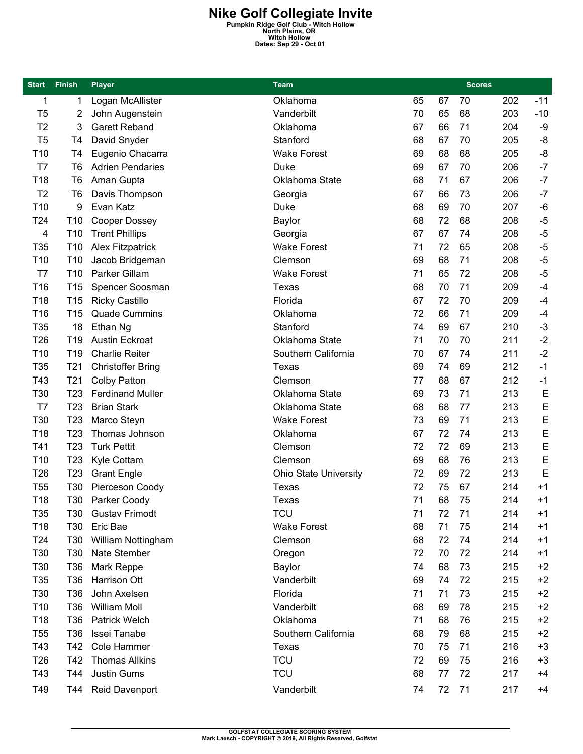**Nike Golf Collegiate Invite**<br>
Pumpkin Ridge Golf Club - Witch Hollow<br>
North Plains, OR<br>
Dates: Sep 29 - Oct 01<br>
Dates: Sep 29 - Oct 01

| <b>Start</b>    | <b>Finish</b>   | <b>Player</b>            | Team                         |    |    | <b>Scores</b> |     |       |
|-----------------|-----------------|--------------------------|------------------------------|----|----|---------------|-----|-------|
| 1               | 1               | Logan McAllister         | Oklahoma                     | 65 | 67 | 70            | 202 | $-11$ |
| T <sub>5</sub>  | 2               | John Augenstein          | Vanderbilt                   | 70 | 65 | 68            | 203 | $-10$ |
| T <sub>2</sub>  | 3               | <b>Garett Reband</b>     | Oklahoma                     | 67 | 66 | 71            | 204 | -9    |
| T <sub>5</sub>  | T4              | David Snyder             | Stanford                     | 68 | 67 | 70            | 205 | -8    |
| T <sub>10</sub> | T <sub>4</sub>  | Eugenio Chacarra         | <b>Wake Forest</b>           | 69 | 68 | 68            | 205 | -8    |
| T7              | T <sub>6</sub>  | <b>Adrien Pendaries</b>  | Duke                         | 69 | 67 | 70            | 206 | $-7$  |
| T18             | T <sub>6</sub>  | Aman Gupta               | Oklahoma State               | 68 | 71 | 67            | 206 | $-7$  |
| T <sub>2</sub>  | T <sub>6</sub>  | Davis Thompson           | Georgia                      | 67 | 66 | 73            | 206 | $-7$  |
| T <sub>10</sub> | 9               | Evan Katz                | Duke                         | 68 | 69 | 70            | 207 | $-6$  |
| T24             | T <sub>10</sub> | Cooper Dossey            | <b>Baylor</b>                | 68 | 72 | 68            | 208 | $-5$  |
| 4               | T <sub>10</sub> | <b>Trent Phillips</b>    | Georgia                      | 67 | 67 | 74            | 208 | $-5$  |
| T <sub>35</sub> | T <sub>10</sub> | <b>Alex Fitzpatrick</b>  | <b>Wake Forest</b>           | 71 | 72 | 65            | 208 | $-5$  |
| T <sub>10</sub> | T <sub>10</sub> | Jacob Bridgeman          | Clemson                      | 69 | 68 | 71            | 208 | $-5$  |
| T7              | T <sub>10</sub> | Parker Gillam            | <b>Wake Forest</b>           | 71 | 65 | 72            | 208 | $-5$  |
| T <sub>16</sub> | T <sub>15</sub> | Spencer Soosman          | Texas                        | 68 | 70 | 71            | 209 | $-4$  |
| T <sub>18</sub> | T <sub>15</sub> | <b>Ricky Castillo</b>    | Florida                      | 67 | 72 | 70            | 209 | $-4$  |
| T16             | T <sub>15</sub> | <b>Quade Cummins</b>     | Oklahoma                     | 72 | 66 | 71            | 209 | $-4$  |
| T35             | 18              | Ethan Ng                 | Stanford                     | 74 | 69 | 67            | 210 | $-3$  |
| T <sub>26</sub> | T <sub>19</sub> | <b>Austin Eckroat</b>    | Oklahoma State               | 71 | 70 | 70            | 211 | $-2$  |
| T <sub>10</sub> | T19             | <b>Charlie Reiter</b>    | Southern California          | 70 | 67 | 74            | 211 | $-2$  |
| T <sub>35</sub> | T <sub>21</sub> | <b>Christoffer Bring</b> | Texas                        | 69 | 74 | 69            | 212 | $-1$  |
| T43             | T <sub>21</sub> | <b>Colby Patton</b>      | Clemson                      | 77 | 68 | 67            | 212 | $-1$  |
| T30             | T <sub>23</sub> | <b>Ferdinand Muller</b>  | Oklahoma State               | 69 | 73 | 71            | 213 | E     |
| T7              | T <sub>23</sub> | <b>Brian Stark</b>       | Oklahoma State               | 68 | 68 | 77            | 213 | E     |
| T30             | T <sub>23</sub> | Marco Steyn              | <b>Wake Forest</b>           | 73 | 69 | 71            | 213 | E     |
| T <sub>18</sub> | T <sub>23</sub> | Thomas Johnson           | Oklahoma                     | 67 | 72 | 74            | 213 | E     |
| T41             | T <sub>23</sub> | <b>Turk Pettit</b>       | Clemson                      | 72 | 72 | 69            | 213 | E     |
| T <sub>10</sub> | T <sub>23</sub> | Kyle Cottam              | Clemson                      | 69 | 68 | 76            | 213 | E     |
| T <sub>26</sub> | T <sub>23</sub> | <b>Grant Engle</b>       | <b>Ohio State University</b> | 72 | 69 | 72            | 213 | E     |
| T <sub>55</sub> | T30             | Pierceson Coody          | Texas                        | 72 | 75 | 67            | 214 | $+1$  |
| T18             | T30             | Parker Coody             | Texas                        | 71 | 68 | 75            | 214 | $+1$  |
| T35             | T30             | <b>Gustav Frimodt</b>    | <b>TCU</b>                   | 71 | 72 | 71            | 214 | $+1$  |
| T <sub>18</sub> | T30             | Eric Bae                 | <b>Wake Forest</b>           | 68 | 71 | 75            | 214 | $+1$  |
| T24             | T30             | William Nottingham       | Clemson                      | 68 | 72 | 74            | 214 | $+1$  |
| T30             | T30             | Nate Stember             | Oregon                       | 72 | 70 | 72            | 214 | $+1$  |
| T30             | T36             | Mark Reppe               | Baylor                       | 74 | 68 | 73            | 215 | $+2$  |
| T35             | T36             | Harrison Ott             | Vanderbilt                   | 69 | 74 | 72            | 215 | $+2$  |
| T30             | T36             | John Axelsen             | Florida                      | 71 | 71 | 73            | 215 | $+2$  |
| T <sub>10</sub> | T36             | William Moll             | Vanderbilt                   | 68 | 69 | 78            | 215 | $+2$  |
| T18             | T36             | <b>Patrick Welch</b>     | Oklahoma                     | 71 | 68 | 76            | 215 | $+2$  |
| T <sub>55</sub> | T36             | Issei Tanabe             | Southern California          | 68 | 79 | 68            | 215 | $+2$  |
| T43             | T42             | Cole Hammer              | Texas                        | 70 | 75 | 71            | 216 | $+3$  |
| T <sub>26</sub> | T42             | <b>Thomas Allkins</b>    | <b>TCU</b>                   | 72 | 69 | 75            | 216 | $+3$  |
| T43             | T44             | Justin Gums              | <b>TCU</b>                   | 68 | 77 | 72            | 217 | $+4$  |
| T49             | T44 I           | Reid Davenport           | Vanderbilt                   | 74 | 72 | 71            | 217 | $+4$  |